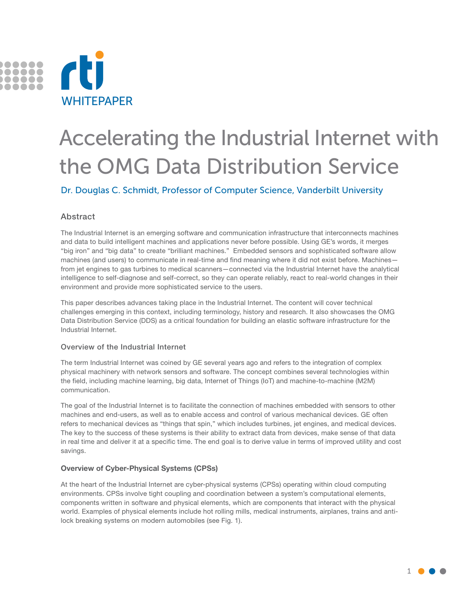

# Accelerating the Industrial Internet with the OMG Data Distribution Service

Dr. Douglas C. Schmidt, Professor of Computer Science, Vanderbilt University

# Abstract

The Industrial Internet is an emerging software and communication infrastructure that interconnects machines and data to build intelligent machines and applications never before possible. Using GE's words, it merges "big iron" and "big data" to create "brilliant machines." Embedded sensors and sophisticated software allow machines (and users) to communicate in real-time and find meaning where it did not exist before. Machines from jet engines to gas turbines to medical scanners—connected via the Industrial Internet have the analytical intelligence to self-diagnose and self-correct, so they can operate reliably, react to real-world changes in their environment and provide more sophisticated service to the users.

This paper describes advances taking place in the Industrial Internet. The content will cover technical challenges emerging in this context, including terminology, history and research. It also showcases the OMG Data Distribution Service (DDS) as a critical foundation for building an elastic software infrastructure for the Industrial Internet.

# Overview of the Industrial Internet

The term Industrial Internet was coined by GE several years ago and refers to the integration of complex physical machinery with network sensors and software. The concept combines several technologies within the field, including machine learning, big data, Internet of Things (IoT) and machine-to-machine (M2M) communication.

The goal of the Industrial Internet is to facilitate the connection of machines embedded with sensors to other machines and end-users, as well as to enable access and control of various mechanical devices. GE often refers to mechanical devices as "things that spin," which includes turbines, jet engines, and medical devices. The key to the success of these systems is their ability to extract data from devices, make sense of that data in real time and deliver it at a specific time. The end goal is to derive value in terms of improved utility and cost savings.

# **Overview of Cyber-Physical Systems (CPSs)**

At the heart of the Industrial Internet are cyber-physical systems (CPSs) operating within cloud computing environments. CPSs involve tight coupling and coordination between a system's computational elements, components written in software and physical elements, which are components that interact with the physical world. Examples of physical elements include hot rolling mills, medical instruments, airplanes, trains and antilock breaking systems on modern automobiles (see Fig. 1).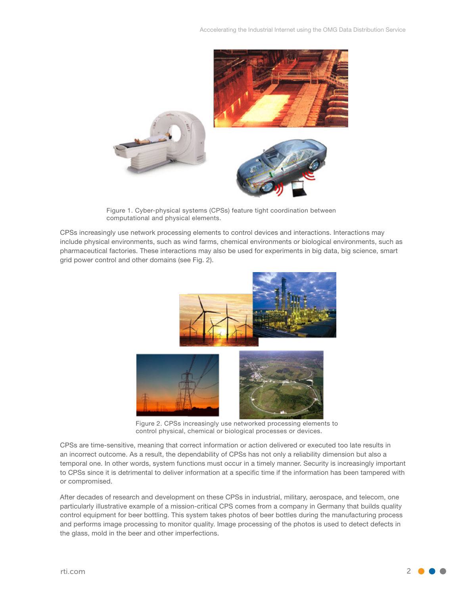

Figure 1. Cyber-physical systems (CPSs) feature tight coordination between computational and physical elements.

CPSs increasingly use network processing elements to control devices and interactions. Interactions may include physical environments, such as wind farms, chemical environments or biological environments, such as pharmaceutical factories. These interactions may also be used for experiments in big data, big science, smart grid power control and other domains (see Fig. 2).



Figure 2. CPSs increasingly use networked processing elements to control physical, chemical or biological processes or devices.

CPSs are time-sensitive, meaning that correct information or action delivered or executed too late results in an incorrect outcome. As a result, the dependability of CPSs has not only a reliability dimension but also a temporal one. In other words, system functions must occur in a timely manner. Security is increasingly important to CPSs since it is detrimental to deliver information at a specific time if the information has been tampered with or compromised.

After decades of research and development on these CPSs in industrial, military, aerospace, and telecom, one particularly illustrative example of a mission-critical CPS comes from a company in Germany that builds quality control equipment for beer bottling. This system takes photos of beer bottles during the manufacturing process and performs image processing to monitor quality. Image processing of the photos is used to detect defects in the glass, mold in the beer and other imperfections.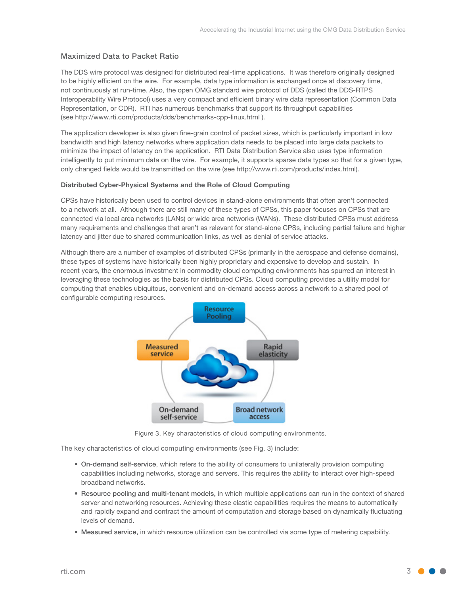# Maximized Data to Packet Ratio

The DDS wire protocol was designed for distributed real-time applications. It was therefore originally designed to be highly efficient on the wire. For example, data type information is exchanged once at discovery time, not continuously at run-time. Also, the open OMG standard wire protocol of DDS (called the DDS-RTPS Interoperability Wire Protocol) uses a very compact and efficient binary wire data representation (Common Data Representation, or CDR). RTI has numerous benchmarks that support its throughput capabilities (see http://www.rti.com/products/dds/benchmarks-cpp-linux.html ).

The application developer is also given fine-grain control of packet sizes, which is particularly important in low bandwidth and high latency networks where application data needs to be placed into large data packets to minimize the impact of latency on the application. RTI Data Distribution Service also uses type information intelligently to put minimum data on the wire. For example, it supports sparse data types so that for a given type, only changed fields would be transmitted on the wire (see http://www.rti.com/products/index.html).

#### **Distributed Cyber-Physical Systems and the Role of Cloud Computing**

CPSs have historically been used to control devices in stand-alone environments that often aren't connected to a network at all. Although there are still many of these types of CPSs, this paper focuses on CPSs that are connected via local area networks (LANs) or wide area networks (WANs). These distributed CPSs must address many requirements and challenges that aren't as relevant for stand-alone CPSs, including partial failure and higher latency and jitter due to shared communication links, as well as denial of service attacks.

Although there are a number of examples of distributed CPSs (primarily in the aerospace and defense domains), these types of systems have historically been highly proprietary and expensive to develop and sustain. In recent years, the enormous investment in commodity cloud computing environments has spurred an interest in leveraging these technologies as the basis for distributed CPSs. Cloud computing provides a utility model for computing that enables ubiquitous, convenient and on-demand access across a network to a shared pool of configurable computing resources.



Figure 3. Key characteristics of cloud computing environments.

The key characteristics of cloud computing environments (see Fig. 3) include:

- • On-demand self-service, which refers to the ability of consumers to unilaterally provision computing capabilities including networks, storage and servers. This requires the ability to interact over high-speed broadband networks.
- Resource pooling and multi-tenant models, in which multiple applications can run in the context of shared server and networking resources. Achieving these elastic capabilities requires the means to automatically and rapidly expand and contract the amount of computation and storage based on dynamically fluctuating levels of demand.
- • Measured service, in which resource utilization can be controlled via some type of metering capability.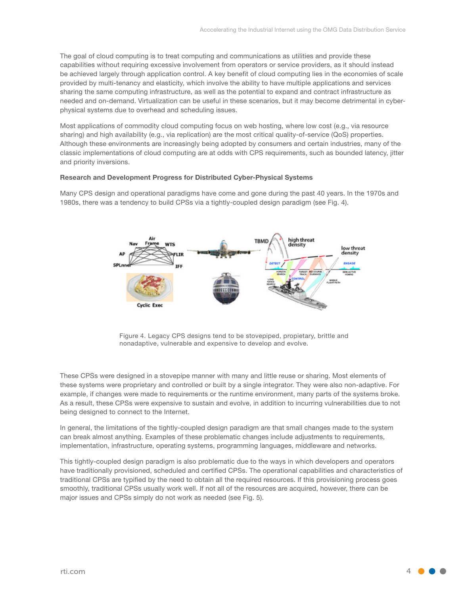The goal of cloud computing is to treat computing and communications as utilities and provide these capabilities without requiring excessive involvement from operators or service providers, as it should instead be achieved largely through application control. A key benefit of cloud computing lies in the economies of scale provided by multi-tenancy and elasticity, which involve the ability to have multiple applications and services sharing the same computing infrastructure, as well as the potential to expand and contract infrastructure as needed and on-demand. Virtualization can be useful in these scenarios, but it may become detrimental in cyberphysical systems due to overhead and scheduling issues.

Most applications of commodity cloud computing focus on web hosting, where low cost (e.g., via resource sharing) and high availability (e.g., via replication) are the most critical quality-of-service (QoS) properties. Although these environments are increasingly being adopted by consumers and certain industries, many of the classic implementations of cloud computing are at odds with CPS requirements, such as bounded latency, jitter and priority inversions.

#### **Research and Development Progress for Distributed Cyber-Physical Systems**

Many CPS design and operational paradigms have come and gone during the past 40 years. In the 1970s and 1980s, there was a tendency to build CPSs via a tightly-coupled design paradigm (see Fig. 4).



Figure 4. Legacy CPS designs tend to be stovepiped, propietary, brittle and nonadaptive, vulnerable and expensive to develop and evolve.

These CPSs were designed in a stovepipe manner with many and little reuse or sharing. Most elements of these systems were proprietary and controlled or built by a single integrator. They were also non-adaptive. For example, if changes were made to requirements or the runtime environment, many parts of the systems broke. As a result, these CPSs were expensive to sustain and evolve, in addition to incurring vulnerabilities due to not being designed to connect to the Internet.

In general, the limitations of the tightly-coupled design paradigm are that small changes made to the system can break almost anything. Examples of these problematic changes include adjustments to requirements, implementation, infrastructure, operating systems, programming languages, middleware and networks.

This tightly-coupled design paradigm is also problematic due to the ways in which developers and operators have traditionally provisioned, scheduled and certified CPSs. The operational capabilities and characteristics of traditional CPSs are typified by the need to obtain all the required resources. If this provisioning process goes smoothly, traditional CPSs usually work well. If not all of the resources are acquired, however, there can be major issues and CPSs simply do not work as needed (see Fig. 5).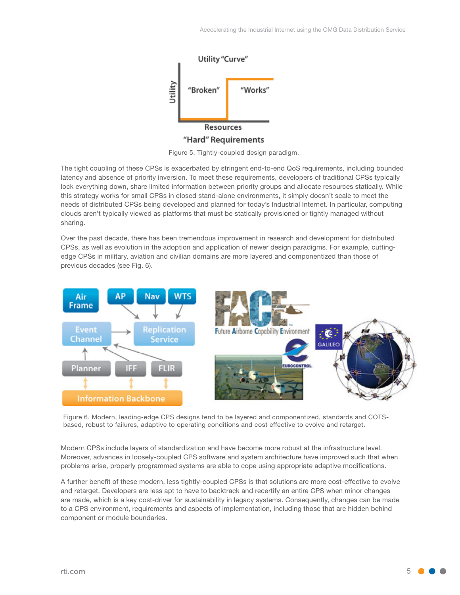

Figure 5. Tightly-coupled design paradigm.

The tight coupling of these CPSs is exacerbated by stringent end-to-end QoS requirements, including bounded latency and absence of priority inversion. To meet these requirements, developers of traditional CPSs typically lock everything down, share limited information between priority groups and allocate resources statically. While this strategy works for small CPSs in closed stand-alone environments, it simply doesn't scale to meet the needs of distributed CPSs being developed and planned for today's Industrial Internet. In particular, computing clouds aren't typically viewed as platforms that must be statically provisioned or tightly managed without sharing.

Over the past decade, there has been tremendous improvement in research and development for distributed CPSs, as well as evolution in the adoption and application of newer design paradigms. For example, cuttingedge CPSs in military, aviation and civilian domains are more layered and componentized than those of previous decades (see Fig. 6).



Figure 6. Modern, leading-edge CPS designs tend to be layered and componentized, standards and COTSbased, robust to failures, adaptive to operating conditions and cost effective to evolve and retarget.

Modern CPSs include layers of standardization and have become more robust at the infrastructure level. Moreover, advances in loosely-coupled CPS software and system architecture have improved such that when problems arise, properly programmed systems are able to cope using appropriate adaptive modifications.

A further benefit of these modern, less tightly-coupled CPSs is that solutions are more cost-effective to evolve and retarget. Developers are less apt to have to backtrack and recertify an entire CPS when minor changes are made, which is a key cost-driver for sustainability in legacy systems. Consequently, changes can be made to a CPS environment, requirements and aspects of implementation, including those that are hidden behind component or module boundaries.

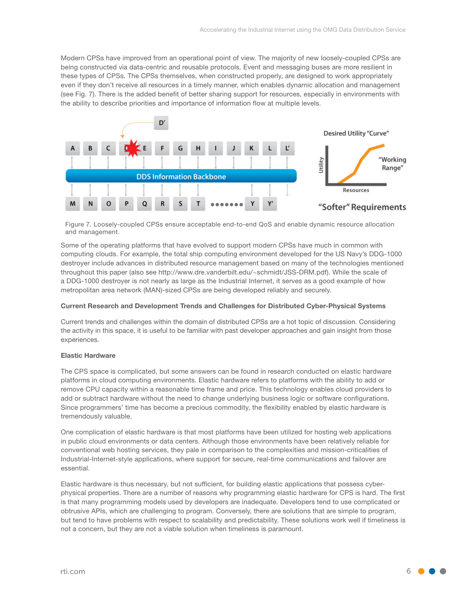Modern CPSs have improved from an operational point of view. The majority of new loosely-coupled CPSs are being constructed via data-centric and reusable protocols. Event and messaging buses are more resilient in these types of CPSs. The CPSs themselves, when constructed properly, are designed to work appropriately even if they don't receive all resources in a timely manner, which enables dynamic allocation and management (see Fig. 7). There is the added benefit of better sharing support for resources, especially in environments with the ability to describe priorities and importance of information flow at multiple levels.



Figure 7. Loosely-coupled CPSs ensure acceptable end-to-end QoS and enable dynamic resource allocation and management.

Some of the operating platforms that have evolved to support modern CPSs have much in common with computing clouds. For example, the total ship computing environment developed for the US Navy's DDG-1000 destroyer include advances in distributed resource management based on many of the technologies mentioned throughout this paper (also see http://www.dre.vanderbilt.edu/~schmidt/JSS-DRM.pdf). While the scale of a DDG-1000 destroyer is not nearly as large as the Industrial Internet, it serves as a good example of how metropolitan area network (MAN)-sized CPSs are being developed reliably and securely.

#### **Current Research and Development Trends and Challenges for Distributed Cyber-Physical Systems**

Current trends and challenges within the domain of distributed CPSs are a hot topic of discussion. Considering the activity in this space, it is useful to be familiar with past developer approaches and gain insight from those experiences.

#### **Elastic Hardware**

The CPS space is complicated, but some answers can be found in research conducted on elastic hardware platforms in cloud computing environments. Elastic hardware refers to platforms with the ability to add or remove CPU capacity within a reasonable time frame and price. This technology enables cloud providers to add or subtract hardware without the need to change underlying business logic or software configurations. Since programmers' time has become a precious commodity, the flexibility enabled by elastic hardware is tremendously valuable.

One complication of elastic hardware is that most platforms have been utilized for hosting web applications in public cloud environments or data centers. Although those environments have been relatively reliable for conventional web hosting services, they pale in comparison to the complexities and mission-criticalities of Industrial-Internet-style applications, where support for secure, real-time communications and failover are essential.

Elastic hardware is thus necessary, but not sufficient, for building elastic applications that possess cyberphysical properties. There are a number of reasons why programming elastic hardware for CPS is hard. The first is that many programming models used by developers are inadequate. Developers tend to use complicated or obtrusive APIs, which are challenging to program. Conversely, there are solutions that are simple to program, but tend to have problems with respect to scalability and predictability. These solutions work well if timeliness is not a concern, but they are not a viable solution when timeliness is paramount.

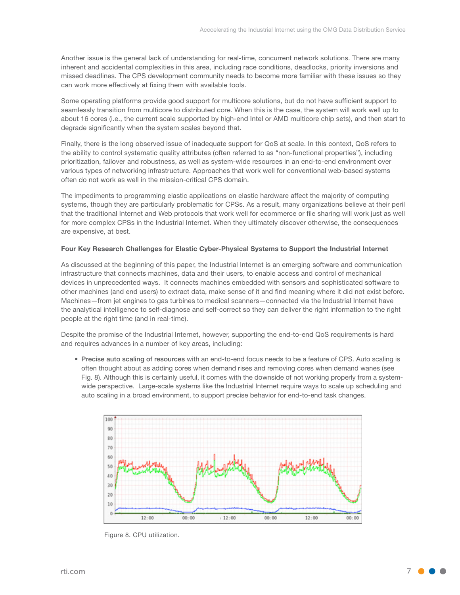Another issue is the general lack of understanding for real-time, concurrent network solutions. There are many inherent and accidental complexities in this area, including race conditions, deadlocks, priority inversions and missed deadlines. The CPS development community needs to become more familiar with these issues so they can work more effectively at fixing them with available tools.

Some operating platforms provide good support for multicore solutions, but do not have sufficient support to seamlessly transition from multicore to distributed core. When this is the case, the system will work well up to about 16 cores (i.e., the current scale supported by high-end Intel or AMD multicore chip sets), and then start to degrade significantly when the system scales beyond that.

Finally, there is the long observed issue of inadequate support for QoS at scale. In this context, QoS refers to the ability to control systematic quality attributes (often referred to as "non-functional properties"), including prioritization, failover and robustness, as well as system-wide resources in an end-to-end environment over various types of networking infrastructure. Approaches that work well for conventional web-based systems often do not work as well in the mission-critical CPS domain.

The impediments to programming elastic applications on elastic hardware affect the majority of computing systems, though they are particularly problematic for CPSs. As a result, many organizations believe at their peril that the traditional Internet and Web protocols that work well for ecommerce or file sharing will work just as well for more complex CPSs in the Industrial Internet. When they ultimately discover otherwise, the consequences are expensive, at best.

#### **Four Key Research Challenges for Elastic Cyber-Physical Systems to Support the Industrial Internet**

As discussed at the beginning of this paper, the Industrial Internet is an emerging software and communication infrastructure that connects machines, data and their users, to enable access and control of mechanical devices in unprecedented ways. It connects machines embedded with sensors and sophisticated software to other machines (and end users) to extract data, make sense of it and find meaning where it did not exist before. Machines—from jet engines to gas turbines to medical scanners—connected via the Industrial Internet have the analytical intelligence to self-diagnose and self-correct so they can deliver the right information to the right people at the right time (and in real-time).

Despite the promise of the Industrial Internet, however, supporting the end-to-end QoS requirements is hard and requires advances in a number of key areas, including:

• Precise auto scaling of resources with an end-to-end focus needs to be a feature of CPS. Auto scaling is often thought about as adding cores when demand rises and removing cores when demand wanes (see Fig. 8). Although this is certainly useful, it comes with the downside of not working properly from a systemwide perspective. Large-scale systems like the Industrial Internet require ways to scale up scheduling and auto scaling in a broad environment, to support precise behavior for end-to-end task changes.



Figure 8. CPU utilization.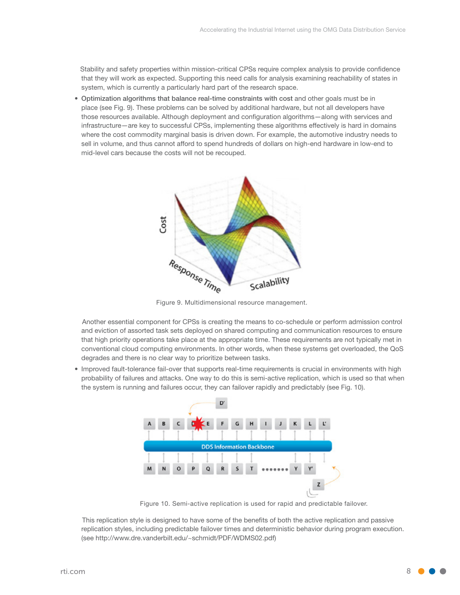Stability and safety properties within mission-critical CPSs require complex analysis to provide confidence that they will work as expected. Supporting this need calls for analysis examining reachability of states in system, which is currently a particularly hard part of the research space.

• Optimization algorithms that balance real-time constraints with cost and other goals must be in place (see Fig. 9). These problems can be solved by additional hardware, but not all developers have those resources available. Although deployment and configuration algorithms—along with services and infrastructure—are key to successful CPSs, implementing these algorithms effectively is hard in domains where the cost commodity marginal basis is driven down. For example, the automotive industry needs to sell in volume, and thus cannot afford to spend hundreds of dollars on high-end hardware in low-end to mid-level cars because the costs will not be recouped.



Figure 9. Multidimensional resource management.

 Another essential component for CPSs is creating the means to co-schedule or perform admission control and eviction of assorted task sets deployed on shared computing and communication resources to ensure that high priority operations take place at the appropriate time. These requirements are not typically met in conventional cloud computing environments. In other words, when these systems get overloaded, the QoS degrades and there is no clear way to prioritize between tasks.

• Improved fault-tolerance fail-over that supports real-time requirements is crucial in environments with high probability of failures and attacks. One way to do this is semi-active replication, which is used so that when the system is running and failures occur, they can failover rapidly and predictably (see Fig. 10).



Figure 10. Semi-active replication is used for rapid and predictable failover.

 This replication style is designed to have some of the benefits of both the active replication and passive replication styles, including predictable failover times and deterministic behavior during program execution. (see http://www.dre.vanderbilt.edu/~schmidt/PDF/WDMS02.pdf)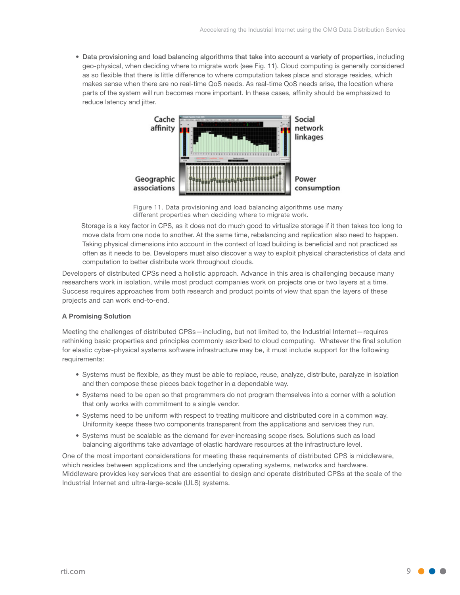• Data provisioning and load balancing algorithms that take into account a variety of properties, including geo-physical, when deciding where to migrate work (see Fig. 11). Cloud computing is generally considered as so flexible that there is little difference to where computation takes place and storage resides, which makes sense when there are no real-time QoS needs. As real-time QoS needs arise, the location where parts of the system will run becomes more important. In these cases, affinity should be emphasized to reduce latency and jitter.



Figure 11. Data provisioning and load balancing algorithms use many different properties when deciding where to migrate work.

 Storage is a key factor in CPS, as it does not do much good to virtualize storage if it then takes too long to move data from one node to another. At the same time, rebalancing and replication also need to happen. Taking physical dimensions into account in the context of load building is beneficial and not practiced as often as it needs to be. Developers must also discover a way to exploit physical characteristics of data and computation to better distribute work throughout clouds.

Developers of distributed CPSs need a holistic approach. Advance in this area is challenging because many researchers work in isolation, while most product companies work on projects one or two layers at a time. Success requires approaches from both research and product points of view that span the layers of these projects and can work end-to-end.

#### **A Promising Solution**

Meeting the challenges of distributed CPSs—including, but not limited to, the Industrial Internet—requires rethinking basic properties and principles commonly ascribed to cloud computing. Whatever the final solution for elastic cyber-physical systems software infrastructure may be, it must include support for the following requirements:

- Systems must be flexible, as they must be able to replace, reuse, analyze, distribute, paralyze in isolation and then compose these pieces back together in a dependable way.
- • Systems need to be open so that programmers do not program themselves into a corner with a solution that only works with commitment to a single vendor.
- • Systems need to be uniform with respect to treating multicore and distributed core in a common way. Uniformity keeps these two components transparent from the applications and services they run.
- • Systems must be scalable as the demand for ever-increasing scope rises. Solutions such as load balancing algorithms take advantage of elastic hardware resources at the infrastructure level.

One of the most important considerations for meeting these requirements of distributed CPS is middleware, which resides between applications and the underlying operating systems, networks and hardware. Middleware provides key services that are essential to design and operate distributed CPSs at the scale of the Industrial Internet and ultra-large-scale (ULS) systems.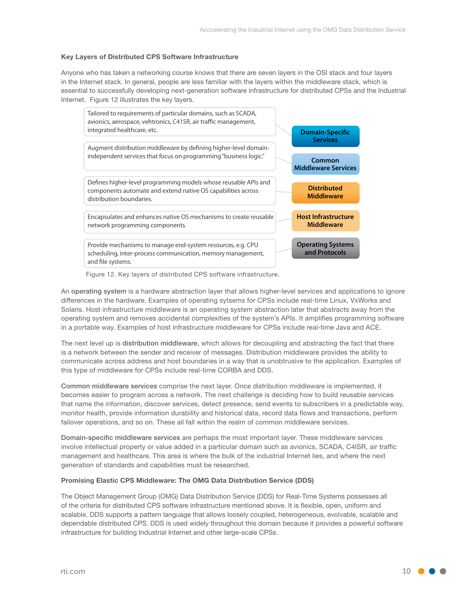#### **Key Layers of Distributed CPS Software Infrastructure**

Anyone who has taken a networking course knows that there are seven layers in the OSI stack and four layers in the Internet stack. In general, people are less familiar with the layers within the middleware stack, which is essential to successfully developing next-generation software infrastructure for distributed CPSs and the Industrial Internet. Figure 12 illustrates the key layers.



Figure 12. Key layers of distributed CPS software infrastructure.

An operating system is a hardware abstraction layer that allows higher-level services and applications to ignore differences in the hardware. Examples of operating sytsems for CPSs include real-time Linux, VxWorks and Solaris. Host infrastructure middleware is an operating system abstraction later that abstracts away from the operating system and removes accidental complexities of the system's APIs. It amplifies programming software in a portable way. Examples of host infrastructure middleware for CPSs include real-time Java and ACE.

The next level up is distribution middleware, which allows for decoupling and abstracting the fact that there is a network between the sender and receiver of messages. Distribution middleware provides the ability to communicate across address and host boundaries in a way that is unobtrusive to the application. Examples of this type of middleware for CPSs include real-time CORBA and DDS.

Common middleware services comprise the next layer. Once distribution middleware is implemented, it becomes easier to program across a network. The next challenge is deciding how to build reusable services that name the information, discover services, detect presence, send events to subscribers in a predictable way, monitor health, provide information durability and historical data, record data flows and transactions, perform failover operations, and so on. These all fall within the realm of common middleware services.

Domain-specific middleware services are perhaps the most important layer. These middleware services involve intellectual property or value added in a particular domain such as avionics, SCADA, C4ISR, air traffic management and healthcare. This area is where the bulk of the industrial Internet lies, and where the next generation of standards and capabilities must be researched.

#### **Promising Elastic CPS Middleware: The OMG Data Distribution Service (DDS)**

The Object Management Group (OMG) Data Distribution Service (DDS) for Real-Time Systems possesses all of the criteria for distributed CPS software infrastructure mentioned above. It is flexible, open, uniform and scalable. DDS supports a pattern language that allows loosely coupled, heterogeneous, evolvable, scalable and dependable distributed CPS. DDS is used widely throughout this domain because it provides a powerful software infrastructure for building Industrial Internet and other large-scale CPSs.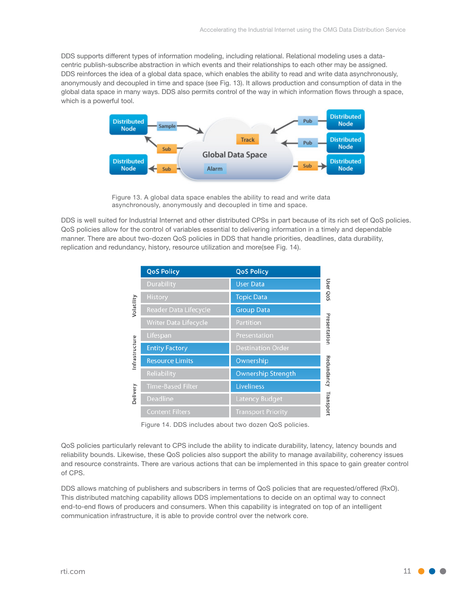DDS supports different types of information modeling, including relational. Relational modeling uses a datacentric publish-subscribe abstraction in which events and their relationships to each other may be assigned. DDS reinforces the idea of a global data space, which enables the ability to read and write data asynchronously, anonymously and decoupled in time and space (see Fig. 13). It allows production and consumption of data in the global data space in many ways. DDS also permits control of the way in which information flows through a space, which is a powerful tool.



Figure 13. A global data space enables the ability to read and write data asynchronously, anonymously and decoupled in time and space.

DDS is well suited for Industrial Internet and other distributed CPSs in part because of its rich set of QoS policies. QoS policies allow for the control of variables essential to delivering information in a timely and dependable manner. There are about two-dozen QoS policies in DDS that handle priorities, deadlines, data durability, replication and redundancy, history, resource utilization and more(see Fig. 14).

|                | <b>QoS Policy</b>            | <b>QoS Policy</b>         |              |
|----------------|------------------------------|---------------------------|--------------|
| Volatility     | <b>Durability</b>            | <b>User Data</b>          | User QoS     |
|                | <b>History</b>               | <b>Topic Data</b>         |              |
|                | <b>Reader Data Lifecycle</b> | <b>Group Data</b>         | Presentation |
|                | Writer Data Lifecycle        | Partition                 |              |
| Infrastructure | Lifespan                     | Presentation              |              |
|                | <b>Entity Factory</b>        | <b>Destination Order</b>  |              |
|                | <b>Resource Limits</b>       | Ownership                 | Redundancy   |
|                | Reliability                  | <b>Ownership Strength</b> |              |
| Delivery       | <b>Time-Based Filter</b>     | <b>Liveliness</b>         |              |
|                | Deadline                     | <b>Latency Budget</b>     | Transport    |
|                | <b>Content Filters</b>       | <b>Transport Priority</b> |              |

Figure 14. DDS includes about two dozen QoS policies.

QoS policies particularly relevant to CPS include the ability to indicate durability, latency, latency bounds and reliability bounds. Likewise, these QoS policies also support the ability to manage availability, coherency issues and resource constraints. There are various actions that can be implemented in this space to gain greater control of CPS.

DDS allows matching of publishers and subscribers in terms of QoS policies that are requested/offered (RxO). This distributed matching capability allows DDS implementations to decide on an optimal way to connect end-to-end flows of producers and consumers. When this capability is integrated on top of an intelligent communication infrastructure, it is able to provide control over the network core.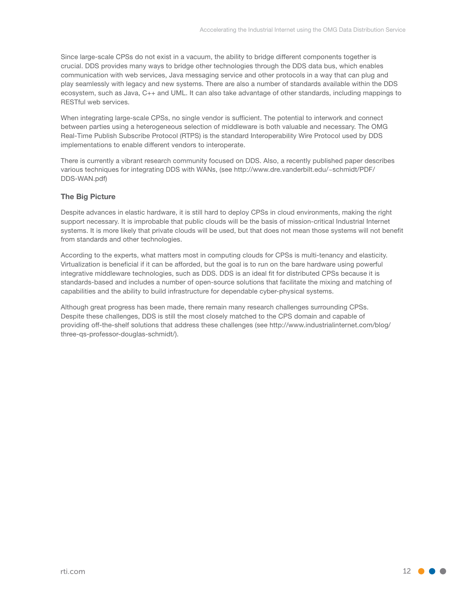Since large-scale CPSs do not exist in a vacuum, the ability to bridge different components together is crucial. DDS provides many ways to bridge other technologies through the DDS data bus, which enables communication with web services, Java messaging service and other protocols in a way that can plug and play seamlessly with legacy and new systems. There are also a number of standards available within the DDS ecosystem, such as Java, C++ and UML. It can also take advantage of other standards, including mappings to RESTful web services.

When integrating large-scale CPSs, no single vendor is sufficient. The potential to interwork and connect between parties using a heterogeneous selection of middleware is both valuable and necessary. The OMG Real-Time Publish Subscribe Protocol (RTPS) is the standard Interoperability Wire Protocol used by DDS implementations to enable different vendors to interoperate.

There is currently a vibrant research community focused on DDS. Also, a recently published paper describes various techniques for integrating DDS with WANs, (see http://www.dre.vanderbilt.edu/~schmidt/PDF/ DDS-WAN.pdf)

# **The Big Picture**

Despite advances in elastic hardware, it is still hard to deploy CPSs in cloud environments, making the right support necessary. It is improbable that public clouds will be the basis of mission-critical Industrial Internet systems. It is more likely that private clouds will be used, but that does not mean those systems will not benefit from standards and other technologies.

According to the experts, what matters most in computing clouds for CPSs is multi-tenancy and elasticity. Virtualization is beneficial if it can be afforded, but the goal is to run on the bare hardware using powerful integrative middleware technologies, such as DDS. DDS is an ideal fit for distributed CPSs because it is standards-based and includes a number of open-source solutions that facilitate the mixing and matching of capabilities and the ability to build infrastructure for dependable cyber-physical systems.

Although great progress has been made, there remain many research challenges surrounding CPSs. Despite these challenges, DDS is still the most closely matched to the CPS domain and capable of providing off-the-shelf solutions that address these challenges (see http://www.industrialinternet.com/blog/ three-qs-professor-douglas-schmidt/).